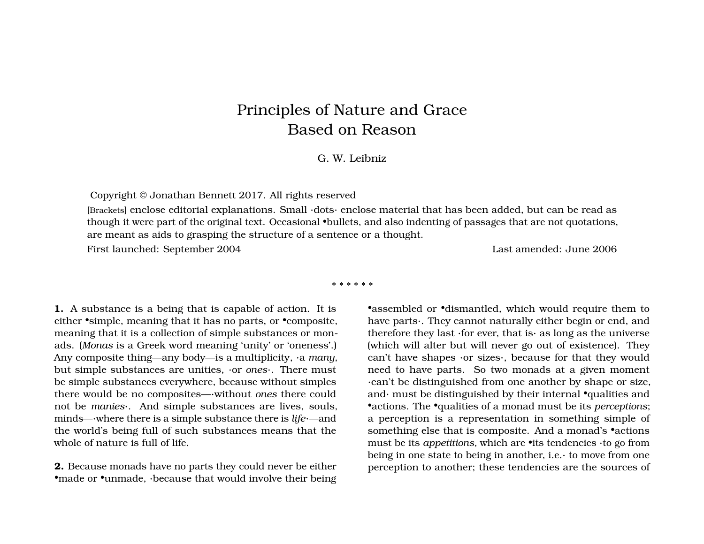## Principles of Nature and Grace Based on Reason

## G. W. Leibniz

Copyright © Jonathan Bennett 2017. All rights reserved

[Brackets] enclose editorial explanations. Small ·dots· enclose material that has been added, but can be read as though it were part of the original text. Occasional •bullets, and also indenting of passages that are not quotations, are meant as aids to grasping the structure of a sentence or a thought.

\* \* \* \* \* \*

First launched: September 2004 Last amended: June 2006

**1.** A substance is a being that is capable of action. It is either •simple, meaning that it has no parts, or •composite, meaning that it is a collection of simple substances or monads. (*Monas* is a Greek word meaning 'unity' or 'oneness'.) Any composite thing—any body—is a multiplicity, ·a *many*, but simple substances are unities, ·or *ones*·. There must be simple substances everywhere, because without simples there would be no composites—·without *ones* there could not be *manies*·. And simple substances are lives, souls, minds—·where there is a simple substance there is *life*·—and the world's being full of such substances means that the whole of nature is full of life.

**2.** Because monads have no parts they could never be either •made or •unmade, ·because that would involve their being

•assembled or •dismantled, which would require them to have parts·. They cannot naturally either begin or end, and therefore they last ·for ever, that is· as long as the universe (which will alter but will never go out of existence). They can't have shapes ·or sizes·, because for that they would need to have parts. So two monads at a given moment ·can't be distinguished from one another by shape or size, and· must be distinguished by their internal •qualities and •actions. The •qualities of a monad must be its *perceptions*; a perception is a representation in something simple of something else that is composite. And a monad's *•actions* must be its *appetitions,* which are •its tendencies ·to go from being in one state to being in another, i.e.· to move from one perception to another; these tendencies are the sources of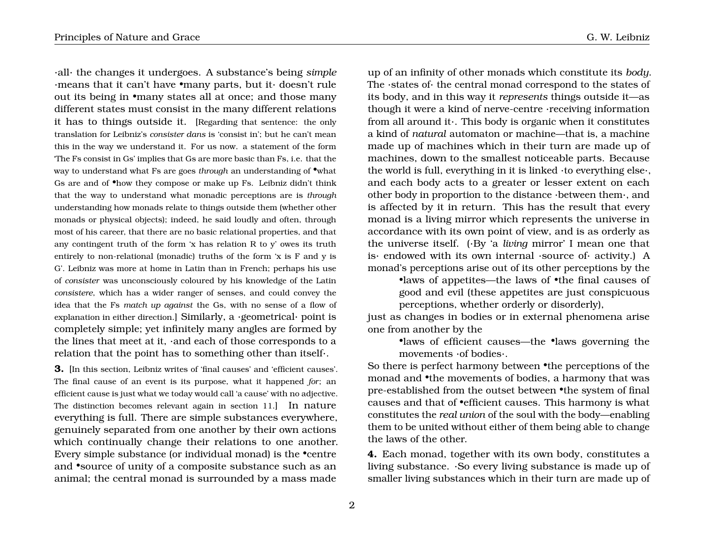·all· the changes it undergoes. A substance's being *simple* ·means that it can't have •many parts, but it· doesn't rule out its being in •many states all at once; and those many different states must consist in the many different relations it has to things outside it. [Regarding that sentence: the only translation for Leibniz's *consister dans* is 'consist in'; but he can't mean this in the way we understand it. For us now. a statement of the form 'The Fs consist in Gs' implies that Gs are more basic than Fs, i.e. that the way to understand what Fs are goes *through* an understanding of •what Gs are and of •how they compose or make up Fs. Leibniz didn't think that the way to understand what monadic perceptions are is *through* understanding how monads relate to things outside them (whether other monads or physical objects); indeed, he said loudly and often, through most of his career, that there are no basic relational properties, and that any contingent truth of the form 'x has relation  $R$  to  $y'$  owes its truth entirely to non-relational (monadic) truths of the form 'x is F and y is G'. Leibniz was more at home in Latin than in French; perhaps his use of *consister* was unconsciously coloured by his knowledge of the Latin *consistere*, which has a wider ranger of senses, and could convey the idea that the Fs *match up against* the Gs, with no sense of a flow of explanation in either direction.] Similarly, a  $\cdot$  geometrical $\cdot$  point is completely simple; yet infinitely many angles are formed by the lines that meet at it, ·and each of those corresponds to a relation that the point has to something other than itself·.

**3.** [In this section, Leibniz writes of 'final causes' and 'efficient causes'. The final cause of an event is its purpose, what it happened *for*; an efficient cause is just what we today would call 'a cause' with no adjective. The distinction becomes relevant again in section 11.] In nature everything is full. There are simple substances everywhere, genuinely separated from one another by their own actions which continually change their relations to one another. Every simple substance (or individual monad) is the •centre and •source of unity of a composite substance such as an animal; the central monad is surrounded by a mass made

up of an infinity of other monads which constitute its *body*. The ·states of· the central monad correspond to the states of its body, and in this way it *represents* things outside it—as though it were a kind of nerve-centre ·receiving information from all around it·. This body is organic when it constitutes a kind of *natural* automaton or machine—that is, a machine made up of machines which in their turn are made up of machines, down to the smallest noticeable parts. Because the world is full, everything in it is linked ·to everything else·, and each body acts to a greater or lesser extent on each other body in proportion to the distance ·between them·, and is affected by it in return. This has the result that every monad is a living mirror which represents the universe in accordance with its own point of view, and is as orderly as the universe itself. (·By 'a *living* mirror' I mean one that is· endowed with its own internal ·source of· activity.) A monad's perceptions arise out of its other perceptions by the

> •laws of appetites—the laws of •the final causes of good and evil (these appetites are just conspicuous perceptions, whether orderly or disorderly),

just as changes in bodies or in external phenomena arise one from another by the

•laws of efficient causes—the •laws governing the movements ·of bodies·.

So there is perfect harmony between •the perceptions of the monad and •the movements of bodies, a harmony that was pre-established from the outset between •the system of final causes and that of •efficient causes. This harmony is what constitutes the *real union* of the soul with the body—enabling them to be united without either of them being able to change the laws of the other.

**4.** Each monad, together with its own body, constitutes a living substance. ·So every living substance is made up of smaller living substances which in their turn are made up of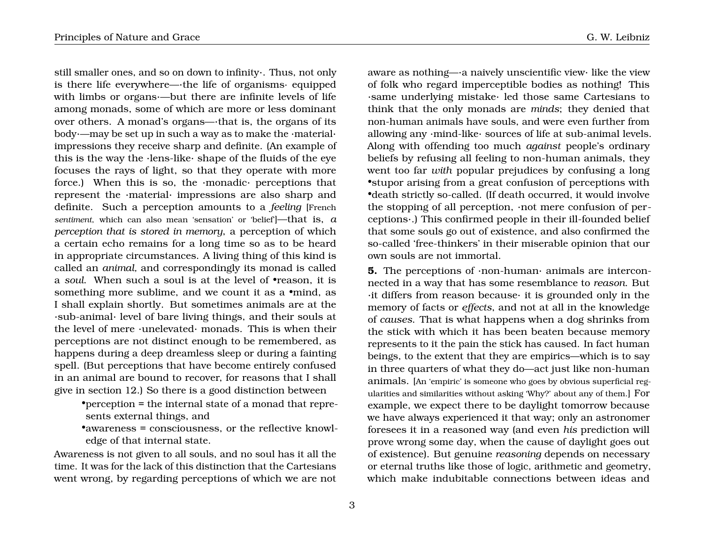still smaller ones, and so on down to infinity·. Thus, not only is there life everywhere—·the life of organisms· equipped with limbs or organs·—but there are infinite levels of life among monads, some of which are more or less dominant over others. A monad's organs—·that is, the organs of its body·—may be set up in such a way as to make the ·material· impressions they receive sharp and definite. (An example of this is the way the ·lens-like· shape of the fluids of the eye focuses the rays of light, so that they operate with more force.) When this is so, the ·monadic· perceptions that represent the ·material· impressions are also sharp and definite. Such a perception amounts to a *feeling* [French *sentiment*, which can also mean 'sensation' or 'belief'—that is,  $a$ *perception that is stored in memory*, a perception of which a certain echo remains for a long time so as to be heard in appropriate circumstances. A living thing of this kind is called an *animal,* and correspondingly its monad is called a *soul*. When such a soul is at the level of •reason, it is something more sublime, and we count it as a  $\bullet$ mind, as I shall explain shortly. But sometimes animals are at the ·sub-animal· level of bare living things, and their souls at the level of mere ·unelevated· monads. This is when their perceptions are not distinct enough to be remembered, as happens during a deep dreamless sleep or during a fainting spell. (But perceptions that have become entirely confused in an animal are bound to recover, for reasons that I shall give in section 12.) So there is a good distinction between

•perception = the internal state of a monad that represents external things, and

•awareness = consciousness, or the reflective knowledge of that internal state.

Awareness is not given to all souls, and no soul has it all the time. It was for the lack of this distinction that the Cartesians went wrong, by regarding perceptions of which we are not

aware as nothing—·a naively unscientific view· like the view of folk who regard imperceptible bodies as nothing! This ·same underlying mistake· led those same Cartesians to think that the only monads are *minds*; they denied that non-human animals have souls, and were even further from allowing any ·mind-like· sources of life at sub-animal levels. Along with offending too much *against* people's ordinary beliefs by refusing all feeling to non-human animals, they went too far *with* popular prejudices by confusing a long •stupor arising from a great confusion of perceptions with •death strictly so-called. (If death occurred, it would involve the stopping of all perception, ·not mere confusion of perceptions·.) This confirmed people in their ill-founded belief that some souls go out of existence, and also confirmed the so-called 'free-thinkers' in their miserable opinion that our own souls are not immortal.

**5.** The perceptions of ·non-human· animals are interconnected in a way that has some resemblance to *reason*. But ·it differs from reason because· it is grounded only in the memory of facts or *effects*, and not at all in the knowledge of *causes*. That is what happens when a dog shrinks from the stick with which it has been beaten because memory represents to it the pain the stick has caused. In fact human beings, to the extent that they are empirics—which is to say in three quarters of what they do—act just like non-human animals. [An 'empiric' is someone who goes by obvious superficial regularities and similarities without asking 'Why?' about any of them.] For example, we expect there to be daylight tomorrow because we have always experienced it that way; only an astronomer foresees it in a reasoned way (and even *his* prediction will prove wrong some day, when the cause of daylight goes out of existence). But genuine *reasoning* depends on necessary or eternal truths like those of logic, arithmetic and geometry, which make indubitable connections between ideas and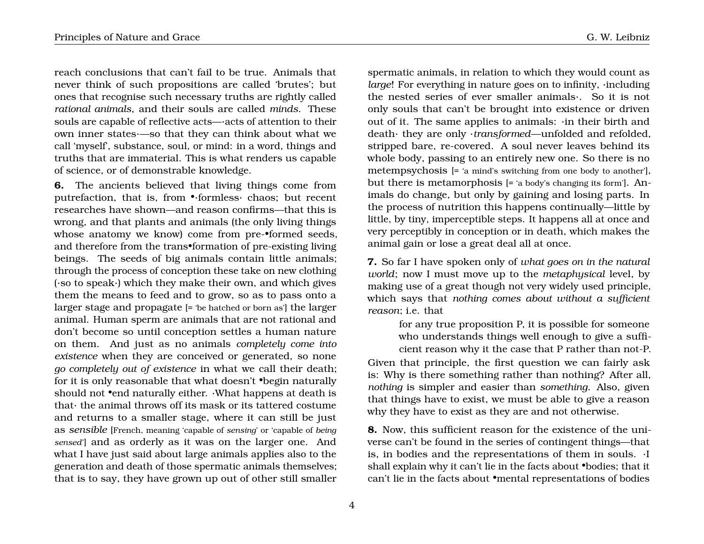reach conclusions that can't fail to be true. Animals that never think of such propositions are called 'brutes'; but ones that recognise such necessary truths are rightly called *rational animals*, and their souls are called *minds*. These souls are capable of reflective acts—·acts of attention to their own inner states·—so that they can think about what we call 'myself', substance, soul, or mind: in a word, things and truths that are immaterial. This is what renders us capable of science, or of demonstrable knowledge.

**6.** The ancients believed that living things come from putrefaction, that is, from •·formless· chaos; but recent researches have shown—and reason confirms—that this is wrong, and that plants and animals (the only living things whose anatomy we know) come from pre-•formed seeds, and therefore from the trans•formation of pre-existing living beings. The seeds of big animals contain little animals; through the process of conception these take on new clothing (·so to speak·) which they make their own, and which gives them the means to feed and to grow, so as to pass onto a larger stage and propagate [= 'be hatched or born as'] the larger animal. Human sperm are animals that are not rational and don't become so until conception settles a human nature on them. And just as no animals *completely come into existence* when they are conceived or generated, so none *go completely out of existence* in what we call their death; for it is only reasonable that what doesn't •begin naturally should not •end naturally either. ·What happens at death is that· the animal throws off its mask or its tattered costume and returns to a smaller stage, where it can still be just as *sensible* [French, meaning 'capable of *sensing*' or 'capable of *being sensed*'] and as orderly as it was on the larger one. And what I have just said about large animals applies also to the generation and death of those spermatic animals themselves; that is to say, they have grown up out of other still smaller

spermatic animals, in relation to which they would count as *large*! For everything in nature goes on to infinity, ·including the nested series of ever smaller animals·. So it is not only souls that can't be brought into existence or driven out of it. The same applies to animals: ·in their birth and death· they are only ·*transformed*—unfolded and refolded, stripped bare, re-covered. A soul never leaves behind its whole body, passing to an entirely new one. So there is no metempsychosis [= 'a mind's switching from one body to another'], but there is metamorphosis [= 'a body's changing its form']. Animals do change, but only by gaining and losing parts. In the process of nutrition this happens continually—little by little, by tiny, imperceptible steps. It happens all at once and very perceptibly in conception or in death, which makes the animal gain or lose a great deal all at once.

**7.** So far I have spoken only of *what goes on in the natural world*; now I must move up to the *metaphysical* level, by making use of a great though not very widely used principle, which says that *nothing comes about without a sufficient reason*; i.e. that

for any true proposition P, it is possible for someone who understands things well enough to give a sufficient reason why it the case that P rather than not-P. Given that principle, the first question we can fairly ask is: Why is there something rather than nothing? After all, *nothing* is simpler and easier than *something.* Also, given that things have to exist, we must be able to give a reason why they have to exist as they are and not otherwise.

**8.** Now, this sufficient reason for the existence of the universe can't be found in the series of contingent things—that is, in bodies and the representations of them in souls. ·I shall explain why it can't lie in the facts about •bodies; that it can't lie in the facts about •mental representations of bodies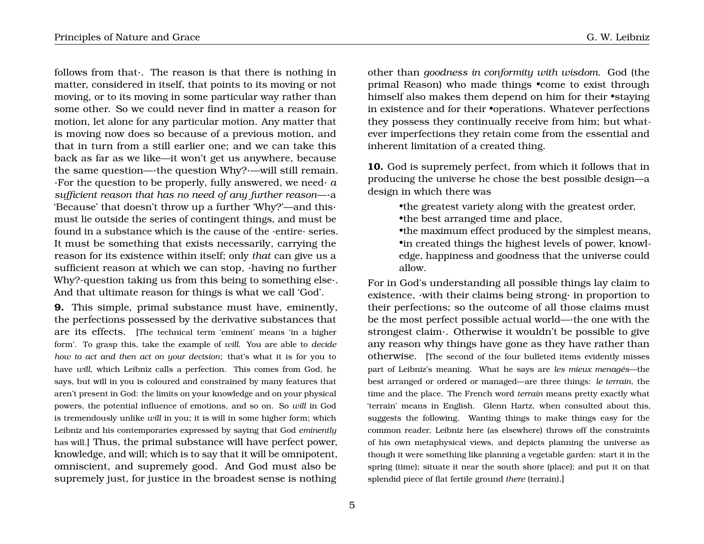follows from that·. The reason is that there is nothing in matter, considered in itself, that points to its moving or not moving, or to its moving in some particular way rather than some other. So we could never find in matter a reason for motion, let alone for any particular motion. Any matter that is moving now does so because of a previous motion, and that in turn from a still earlier one; and we can take this back as far as we like—it won't get us anywhere, because the same question—·the question Why?·—will still remain. ·For the question to be properly, fully answered, we need· *a sufficient reason that has no need of any further reason*—·a 'Because' that doesn't throw up a further 'Why?'—and this· must lie outside the series of contingent things, and must be found in a substance which is the cause of the ·entire· series. It must be something that exists necessarily, carrying the reason for its existence within itself; only *that* can give us a sufficient reason at which we can stop, ·having no further Why?-question taking us from this being to something else·. And that ultimate reason for things is what we call 'God'.

**9.** This simple, primal substance must have, eminently, the perfections possessed by the derivative substances that are its effects. [The technical term 'eminent' means 'in a higher form'. To grasp this, take the example of *will*. You are able to *decide how to act and then act on your decision*; that's what it is for you to have *will*, which Leibniz calls a perfection. This comes from God, he says, but will in you is coloured and constrained by many features that aren't present in God: the limits on your knowledge and on your physical powers, the potential influence of emotions, and so on. So *will* in God is tremendously unlike *will* in you; it is will in some higher form; which Leibniz and his contemporaries expressed by saying that God *eminently* has will.] Thus, the primal substance will have perfect power, knowledge, and will; which is to say that it will be omnipotent, omniscient, and supremely good. And God must also be supremely just, for justice in the broadest sense is nothing

other than *goodness in conformity with wisdom*. God (the primal Reason) who made things •come to exist through himself also makes them depend on him for their •staying in existence and for their •operations. Whatever perfections they possess they continually receive from him; but whatever imperfections they retain come from the essential and inherent limitation of a created thing.

**10.** God is supremely perfect, from which it follows that in producing the universe he chose the best possible design—a design in which there was

- •the greatest variety along with the greatest order,
- •the best arranged time and place,
- •the maximum effect produced by the simplest means, •in created things the highest levels of power, knowledge, happiness and goodness that the universe could allow.

For in God's understanding all possible things lay claim to existence, ·with their claims being strong· in proportion to their perfections; so the outcome of all those claims must be the most perfect possible actual world—·the one with the strongest claim·. Otherwise it wouldn't be possible to give any reason why things have gone as they have rather than otherwise. [The second of the four bulleted items evidently misses part of Leibniz's meaning. What he says are *les mieux menagés*—the best arranged or ordered or managed—are three things: *le terrain*, the time and the place. The French word *terrain* means pretty exactly what 'terrain' means in English. Glenn Hartz, when consulted about this, suggests the following. Wanting things to make things easy for the common reader, Leibniz here (as elsewhere) throws off the constraints of his own metaphysical views, and depicts planning the universe as though it were something like planning a vegetable garden: start it in the spring (time); situate it near the south shore (place); and put it on that splendid piece of flat fertile ground *there* (terrain).]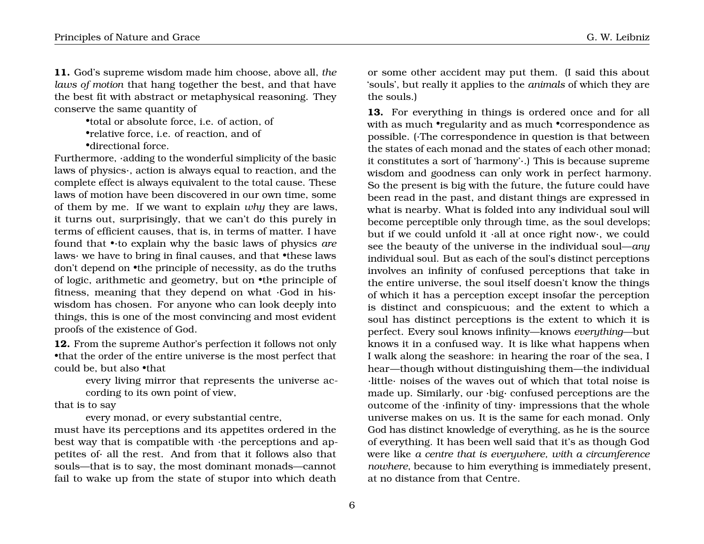**11.** God's supreme wisdom made him choose, above all, *the laws of motion* that hang together the best, and that have the best fit with abstract or metaphysical reasoning. They conserve the same quantity of

> •total or absolute force, i.e. of action, of •relative force, i.e. of reaction, and of

•directional force.

Furthermore, ·adding to the wonderful simplicity of the basic laws of physics·, action is always equal to reaction, and the complete effect is always equivalent to the total cause. These laws of motion have been discovered in our own time, some of them by me. If we want to explain *why* they are laws, it turns out, surprisingly, that we can't do this purely in terms of efficient causes, that is, in terms of matter. I have found that •·to explain why the basic laws of physics *are* laws· we have to bring in final causes, and that •these laws don't depend on •the principle of necessity, as do the truths of logic, arithmetic and geometry, but on •the principle of fitness, meaning that they depend on what ·God in his· wisdom has chosen. For anyone who can look deeply into things, this is one of the most convincing and most evident proofs of the existence of God.

**12.** From the supreme Author's perfection it follows not only •that the order of the entire universe is the most perfect that could be, but also •that

> every living mirror that represents the universe according to its own point of view,

that is to say

every monad, or every substantial centre,

must have its perceptions and its appetites ordered in the best way that is compatible with ·the perceptions and appetites of· all the rest. And from that it follows also that souls—that is to say, the most dominant monads—cannot fail to wake up from the state of stupor into which death

or some other accident may put them. (I said this about 'souls', but really it applies to the *animals* of which they are the souls.)

**13.** For everything in things is ordered once and for all with as much •regularity and as much •correspondence as possible. (·The correspondence in question is that between the states of each monad and the states of each other monad; it constitutes a sort of 'harmony'·.) This is because supreme wisdom and goodness can only work in perfect harmony. So the present is big with the future, the future could have been read in the past, and distant things are expressed in what is nearby. What is folded into any individual soul will become perceptible only through time, as the soul develops; but if we could unfold it ·all at once right now·, we could see the beauty of the universe in the individual soul—*any* individual soul. But as each of the soul's distinct perceptions involves an infinity of confused perceptions that take in the entire universe, the soul itself doesn't know the things of which it has a perception except insofar the perception is distinct and conspicuous; and the extent to which a soul has distinct perceptions is the extent to which it is perfect. Every soul knows infinity—knows *everything*—but knows it in a confused way. It is like what happens when I walk along the seashore: in hearing the roar of the sea, I hear—though without distinguishing them—the individual ·little· noises of the waves out of which that total noise is made up. Similarly, our ·big· confused perceptions are the outcome of the ·infinity of tiny· impressions that the whole universe makes on us. It is the same for each monad. Only God has distinct knowledge of everything, as he is the source of everything. It has been well said that it's as though God were like *a centre that is everywhere, with a circumference nowhere*, because to him everything is immediately present, at no distance from that Centre.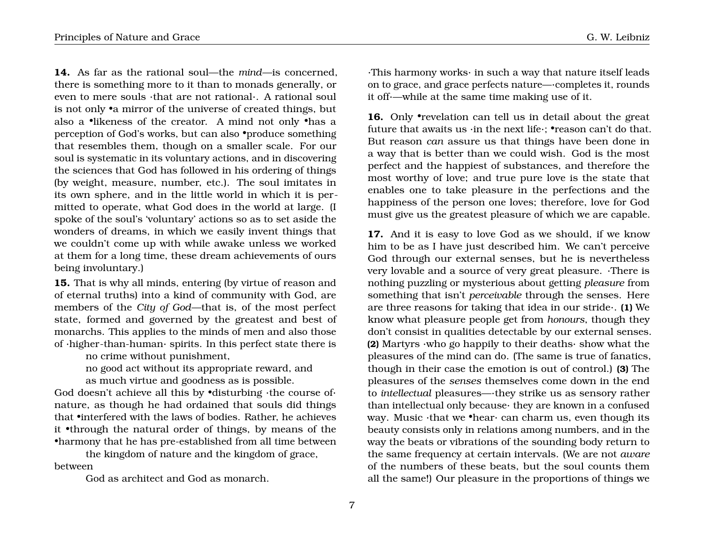**14.** As far as the rational soul—the *mind*—is concerned, there is something more to it than to monads generally, or even to mere souls ·that are not rational·. A rational soul is not only •a mirror of the universe of created things, but also a •likeness of the creator. A mind not only •has a perception of God's works, but can also •produce something that resembles them, though on a smaller scale. For our soul is systematic in its voluntary actions, and in discovering the sciences that God has followed in his ordering of things (by weight, measure, number, etc.). The soul imitates in its own sphere, and in the little world in which it is permitted to operate, what God does in the world at large. (I spoke of the soul's 'voluntary' actions so as to set aside the wonders of dreams, in which we easily invent things that we couldn't come up with while awake unless we worked at them for a long time, these dream achievements of ours being involuntary.)

**15.** That is why all minds, entering (by virtue of reason and of eternal truths) into a kind of community with God, are members of the *City of God*—that is, of the most perfect state, formed and governed by the greatest and best of monarchs. This applies to the minds of men and also those of ·higher-than-human· spirits. In this perfect state there is

no crime without punishment,

no good act without its appropriate reward, and as much virtue and goodness as is possible.

God doesn't achieve all this by •disturbing ·the course of· nature, as though he had ordained that souls did things that •interfered with the laws of bodies. Rather, he achieves it •through the natural order of things, by means of the •harmony that he has pre-established from all time between

the kingdom of nature and the kingdom of grace, between

God as architect and God as monarch.

·This harmony works· in such a way that nature itself leads on to grace, and grace perfects nature—·completes it, rounds it off·—while at the same time making use of it.

**16.** Only •revelation can tell us in detail about the great future that awaits us  $\cdot$ in the next life $\cdot$ ; •reason can't do that. But reason *can* assure us that things have been done in a way that is better than we could wish. God is the most perfect and the happiest of substances, and therefore the most worthy of love; and true pure love is the state that enables one to take pleasure in the perfections and the happiness of the person one loves; therefore, love for God must give us the greatest pleasure of which we are capable.

**17.** And it is easy to love God as we should, if we know him to be as I have just described him. We can't perceive God through our external senses, but he is nevertheless very lovable and a source of very great pleasure. ·There is nothing puzzling or mysterious about getting *pleasure* from something that isn't *perceivable* through the senses. Here are three reasons for taking that idea in our stride·. **(1)** We know what pleasure people get from *honours*, though they don't consist in qualities detectable by our external senses. **(2)** Martyrs ·who go happily to their deaths· show what the pleasures of the mind can do. (The same is true of fanatics, though in their case the emotion is out of control.) **(3)** The pleasures of the *senses* themselves come down in the end to *intellectual* pleasures—·they strike us as sensory rather than intellectual only because· they are known in a confused way. Music ·that we •hear· can charm us, even though its beauty consists only in relations among numbers, and in the way the beats or vibrations of the sounding body return to the same frequency at certain intervals. (We are not *aware* of the numbers of these beats, but the soul counts them all the same!) Our pleasure in the proportions of things we